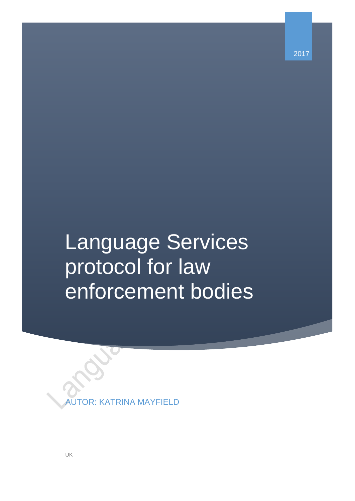2017

# Language Services protocol for law enforcement bodies

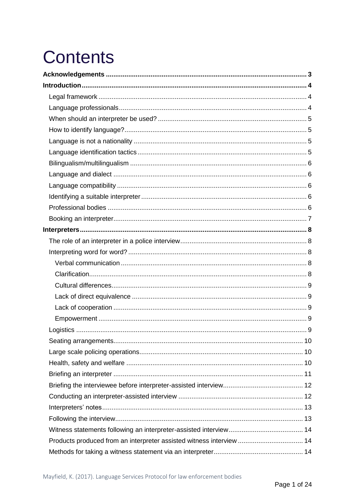# **Contents**

| Products produced from an interpreter assisted witness interview  14 |  |
|----------------------------------------------------------------------|--|
|                                                                      |  |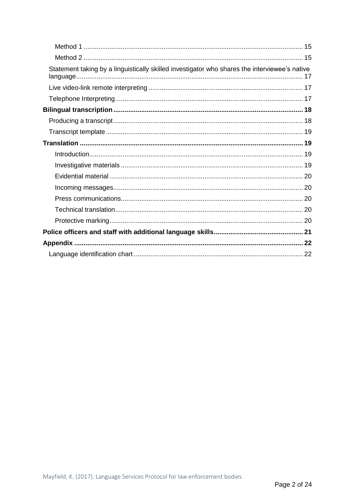| Statement taking by a linguistically skilled investigator who shares the interviewee's native |  |
|-----------------------------------------------------------------------------------------------|--|
|                                                                                               |  |
|                                                                                               |  |
|                                                                                               |  |
|                                                                                               |  |
|                                                                                               |  |
|                                                                                               |  |
|                                                                                               |  |
|                                                                                               |  |
|                                                                                               |  |
|                                                                                               |  |
|                                                                                               |  |
|                                                                                               |  |
|                                                                                               |  |
|                                                                                               |  |
|                                                                                               |  |
|                                                                                               |  |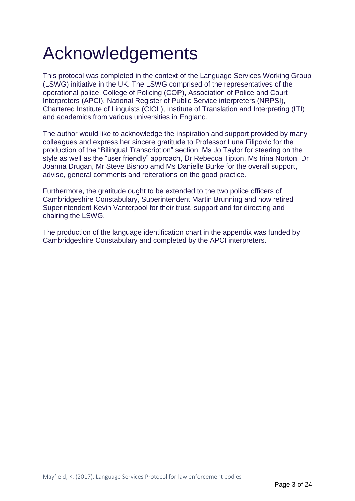# <span id="page-3-0"></span>Acknowledgements

This protocol was completed in the context of the Language Services Working Group (LSWG) initiative in the UK. The LSWG comprised of the representatives of the operational police, College of Policing (COP), Association of Police and Court Interpreters (APCI), National Register of Public Service interpreters (NRPSI), Chartered Institute of Linguists (CIOL), Institute of Translation and Interpreting (ITI) and academics from various universities in England.

The author would like to acknowledge the inspiration and support provided by many colleagues and express her sincere gratitude to Professor Luna Filipovic for the production of the "Bilingual Transcription" section, Ms Jo Taylor for steering on the style as well as the "user friendly" approach, Dr Rebecca Tipton, Ms Irina Norton, Dr Joanna Drugan, Mr Steve Bishop amd Ms Danielle Burke for the overall support, advise, general comments and reiterations on the good practice.

Furthermore, the gratitude ought to be extended to the two police officers of Cambridgeshire Constabulary, Superintendent Martin Brunning and now retired Superintendent Kevin Vanterpool for their trust, support and for directing and chairing the LSWG.

The production of the language identification chart in the appendix was funded by Cambridgeshire Constabulary and completed by the APCI interpreters.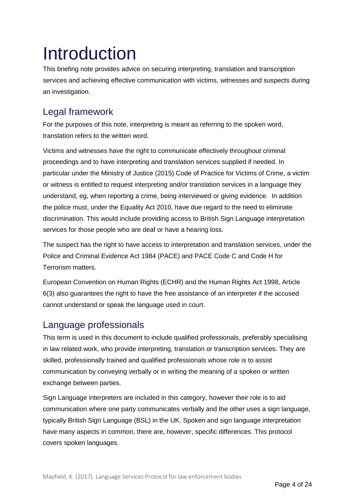# <span id="page-4-0"></span>Introduction

This briefing note provides advice on securing interpreting, translation and transcription services and achieving effective communication with victims, witnesses and suspects during an investigation.

## <span id="page-4-1"></span>Legal framework

For the purposes of this note, interpreting is meant as referring to the spoken word, translation refers to the written word.

Victims and witnesses have the right to communicate effectively throughout criminal proceedings and to have interpreting and translation services supplied if needed. In particular under the Ministry of Justice (2015) Code of Practice for Victims of Crime, a victim or witness is entitled to request interpreting and/or translation services in a language they understand, eg, when reporting a crime, being interviewed or giving evidence. In addition the police must, under the Equality Act 2010, have due regard to the need to eliminate discrimination. This would include providing access to British Sign Language interpretation services for those people who are deaf or have a hearing loss.

The suspect has the right to have access to interpretation and translation services, under the Police and Criminal Evidence Act 1984 (PACE) and PACE Code C and Code H for Terrorism matters.

European Convention on Human Rights (ECHR) and the Human Rights Act 1998, Article 6(3) also guarantees the right to have the free assistance of an interpreter if the accused cannot understand or speak the language used in court.

## <span id="page-4-2"></span>Language professionals

This term is used in this document to include qualified professionals, preferably specialising in law related work, who provide interpreting, translation or transcription services. They are skilled, professionally trained and qualified professionals whose role is to assist communication by conveying verbally or in writing the meaning of a spoken or written exchange between parties.

Sign Language interpreters are included in this category, however their role is to aid communication where one party communicates verbally and the other uses a sign language, typically British Sign Language (BSL) in the UK. Spoken and sign language interpretation have many aspects in common, there are, however, specific differences. This protocol covers spoken languages.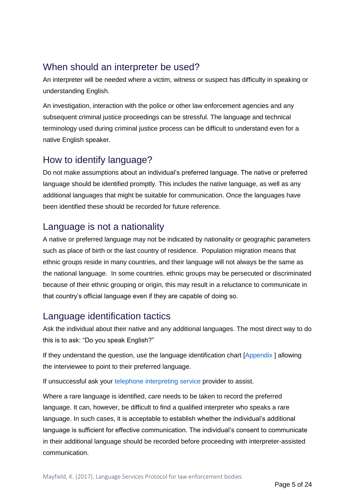### <span id="page-5-0"></span>When should an interpreter be used?

An interpreter will be needed where a victim, witness or suspect has difficulty in speaking or understanding English.

An investigation, interaction with the police or other law enforcement agencies and any subsequent criminal justice proceedings can be stressful. The language and technical terminology used during criminal justice process can be difficult to understand even for a native English speaker.

# <span id="page-5-1"></span>How to identify language?

Do not make assumptions about an individual's preferred language. The native or preferred language should be identified promptly. This includes the native language, as well as any additional languages that might be suitable for communication. Once the languages have been identified these should be recorded for future reference.

### <span id="page-5-2"></span>Language is not a nationality

A native or preferred language may not be indicated by nationality or geographic parameters such as place of birth or the last country of residence. Population migration means that ethnic groups reside in many countries, and their language will not always be the same as the national language. In some countries, ethnic groups may be persecuted or discriminated because of their ethnic grouping or origin, this may result in a reluctance to communicate in that country's official language even if they are capable of doing so.

# <span id="page-5-3"></span>Language identification tactics

Ask the individual about their native and any additional languages. The most direct way to do this is to ask: "Do you speak English?"

If they understand the question, use the language identification chart [\[Appendix \]](#page-22-0) allowing the interviewee to point to their preferred language.

If unsuccessful ask your [telephone interpreting service p](#page-17-3)rovider to assist.

Where a rare language is identified, care needs to be taken to record the preferred language. It can, however, be difficult to find a qualified interpreter who speaks a rare language. In such cases, it is acceptable to establish whether the individual's additional language is sufficient for effective communication. The individual's consent to communicate in their additional language should be recorded before proceeding with interpreter-assisted communication.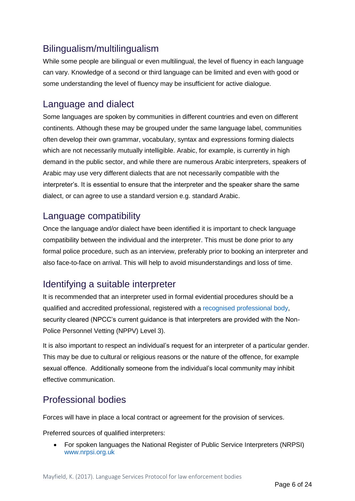# <span id="page-6-0"></span>Bilingualism/multilingualism

While some people are bilingual or even multilingual, the level of fluency in each language can vary. Knowledge of a second or third language can be limited and even with good or some understanding the level of fluency may be insufficient for active dialogue.

### <span id="page-6-1"></span>Language and dialect

Some languages are spoken by communities in different countries and even on different continents. Although these may be grouped under the same language label, communities often develop their own grammar, vocabulary, syntax and expressions forming dialects which are not necessarily mutually intelligible. Arabic, for example, is currently in high demand in the public sector, and while there are numerous Arabic interpreters, speakers of Arabic may use very different dialects that are not necessarily compatible with the interpreter's. It is essential to ensure that the interpreter and the speaker share the same dialect, or can agree to use a standard version e.g. standard Arabic.

### <span id="page-6-2"></span>Language compatibility

Once the language and/or dialect have been identified it is important to check language compatibility between the individual and the interpreter. This must be done prior to any formal police procedure, such as an interview, preferably prior to booking an interpreter and also face-to-face on arrival. This will help to avoid misunderstandings and loss of time.

## <span id="page-6-3"></span>Identifying a suitable interpreter

It is recommended that an interpreter used in formal evidential procedures should be a qualified and accredited professional, registered with a [recognised professional body,](#page-6-5) security cleared (NPCC's current guidance is that interpreters are provided with the Non-Police Personnel Vetting (NPPV) Level 3).

It is also important to respect an individual's request for an interpreter of a particular gender. This may be due to cultural or religious reasons or the nature of the offence, for example sexual offence. Additionally someone from the individual's local community may inhibit effective communication.

# <span id="page-6-4"></span>Professional bodies

<span id="page-6-5"></span>Forces will have in place a local contract or agreement for the provision of services.

Preferred sources of qualified interpreters:

• For spoken languages the National Register of Public Service Interpreters (NRPSI) [www.nrpsi.org.uk](http://www.nrpsi.org.uk/)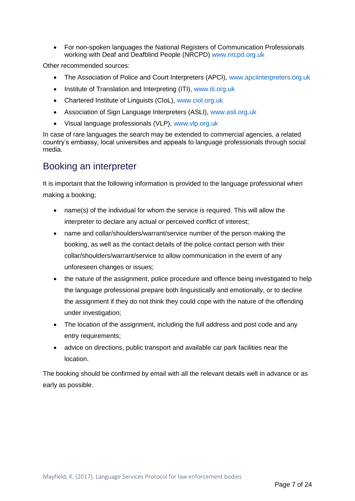• For non-spoken languages the National Registers of Communication Professionals working with Deaf and Deafblind People (NRCPD) [www.nrcpd.org.uk](http://www.nrcpd.org.uk/)

Other recommended sources:

- The Association of Police and Court Interpreters (APCI), [www.apciinterpreters.org.uk](http://www.apciinterpreters.org.uk/)
- Institute of Translation and Interpreting (ITI), [www.iti.org.uk](http://www.iti.org.uk/)
- Chartered Institute of Linguists (CIoL), [www.ciol.org.uk](http://www.ciol.org.uk/)
- Association of Sign Language Interpreters (ASLI), [www.asli.org.uk](http://www.asli.org.uk/)
- Visual language professionals (VLP), [www.vlp.org.uk](http://www.vlp.org.uk/)

In case of rare languages the search may be extended to commercial agencies, a related country's embassy, local universities and appeals to language professionals through social media.

### <span id="page-7-0"></span>Booking an interpreter

It is important that the following information is provided to the language professional when making a booking;

- name(s) of the individual for whom the service is required. This will allow the interpreter to declare any actual or perceived conflict of interest;
- name and collar/shoulders/warrant/service number of the person making the booking, as well as the contact details of the police contact person with their collar/shoulders/warrant/service to allow communication in the event of any unforeseen changes or issues;
- the nature of the assignment, police procedure and offence being investigated to help the language professional prepare both linguistically and emotionally, or to decline the assignment if they do not think they could cope with the nature of the offending under investigation;
- The location of the assignment, including the full address and post code and any entry requirements;
- advice on directions, public transport and available car park facilities near the location.

The booking should be confirmed by email with all the relevant details well in advance or as early as possible.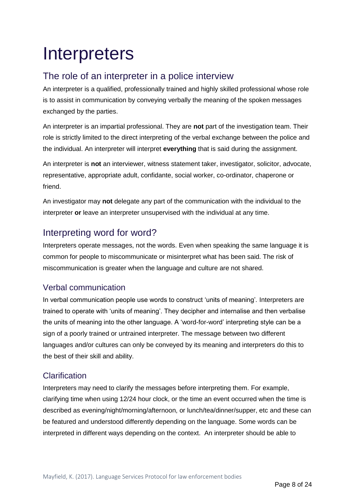# <span id="page-8-0"></span>**Interpreters**

## <span id="page-8-1"></span>The role of an interpreter in a police interview

An interpreter is a qualified, professionally trained and highly skilled professional whose role is to assist in communication by conveying verbally the meaning of the spoken messages exchanged by the parties.

An interpreter is an impartial professional. They are **not** part of the investigation team. Their role is strictly limited to the direct interpreting of the verbal exchange between the police and the individual. An interpreter will interpret **everything** that is said during the assignment.

An interpreter is **not** an interviewer, witness statement taker, investigator, solicitor, advocate, representative, appropriate adult, confidante, social worker, co-ordinator, chaperone or friend.

An investigator may **not** delegate any part of the communication with the individual to the interpreter **or** leave an interpreter unsupervised with the individual at any time.

# <span id="page-8-2"></span>Interpreting word for word?

Interpreters operate messages, not the words. Even when speaking the same language it is common for people to miscommunicate or misinterpret what has been said. The risk of miscommunication is greater when the language and culture are not shared.

#### <span id="page-8-3"></span>Verbal communication

In verbal communication people use words to construct 'units of meaning'*.* Interpreters are trained to operate with 'units of meaning'. They decipher and internalise and then verbalise the units of meaning into the other language. A 'word-for-word' interpreting style can be a sign of a poorly trained or untrained interpreter. The message between two different languages and/or cultures can only be conveyed by its meaning and interpreters do this to the best of their skill and ability.

#### <span id="page-8-4"></span>**Clarification**

Interpreters may need to clarify the messages before interpreting them. For example, clarifying time when using 12/24 hour clock, or the time an event occurred when the time is described as evening/night/morning/afternoon, or lunch/tea/dinner/supper, etc and these can be featured and understood differently depending on the language. Some words can be interpreted in different ways depending on the context. An interpreter should be able to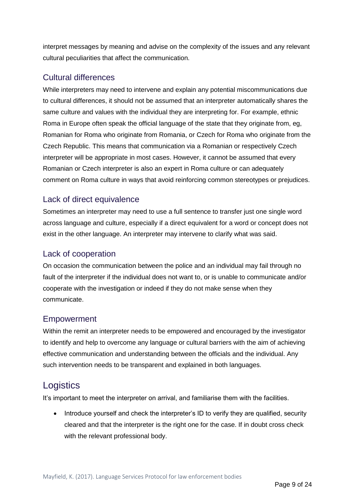interpret messages by meaning and advise on the complexity of the issues and any relevant cultural peculiarities that affect the communication.

#### <span id="page-9-0"></span>Cultural differences

While interpreters may need to intervene and explain any potential miscommunications due to cultural differences, it should not be assumed that an interpreter automatically shares the same culture and values with the individual they are interpreting for. For example, ethnic Roma in Europe often speak the official language of the state that they originate from, eg, Romanian for Roma who originate from Romania, or Czech for Roma who originate from the Czech Republic. This means that communication via a Romanian or respectively Czech interpreter will be appropriate in most cases. However, it cannot be assumed that every Romanian or Czech interpreter is also an expert in Roma culture or can adequately comment on Roma culture in ways that avoid reinforcing common stereotypes or prejudices.

#### <span id="page-9-1"></span>Lack of direct equivalence

Sometimes an interpreter may need to use a full sentence to transfer just one single word across language and culture, especially if a direct equivalent for a word or concept does not exist in the other language. An interpreter may intervene to clarify what was said.

#### <span id="page-9-2"></span>Lack of cooperation

On occasion the communication between the police and an individual may fail through no fault of the interpreter if the individual does not want to, or is unable to communicate and/or cooperate with the investigation or indeed if they do not make sense when they communicate.

#### <span id="page-9-3"></span>Empowerment

Within the remit an interpreter needs to be empowered and encouraged by the investigator to identify and help to overcome any language or cultural barriers with the aim of achieving effective communication and understanding between the officials and the individual. Any such intervention needs to be transparent and explained in both languages.

### <span id="page-9-4"></span>**Logistics**

It's important to meet the interpreter on arrival, and familiarise them with the facilities.

• Introduce yourself and check the interpreter's ID to verify they are qualified, security cleared and that the interpreter is the right one for the case. If in doubt cross check with the relevant professional body.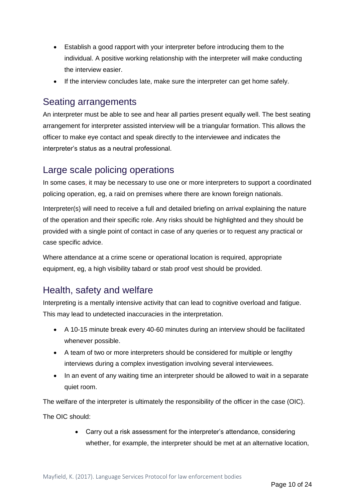- Establish a good rapport with your interpreter before introducing them to the individual. A positive working relationship with the interpreter will make conducting the interview easier.
- If the interview concludes late, make sure the interpreter can get home safely.

#### <span id="page-10-0"></span>Seating arrangements

An interpreter must be able to see and hear all parties present equally well. The best seating arrangement for interpreter assisted interview will be a triangular formation. This allows the officer to make eye contact and speak directly to the interviewee and indicates the interpreter's status as a neutral professional.

### <span id="page-10-1"></span>Large scale policing operations

In some cases, it may be necessary to use one or more interpreters to support a coordinated policing operation, eg, a raid on premises where there are known foreign nationals.

Interpreter(s) will need to receive a full and detailed briefing on arrival explaining the nature of the operation and their specific role. Any risks should be highlighted and they should be provided with a single point of contact in case of any queries or to request any practical or case specific advice.

Where attendance at a crime scene or operational location is required, appropriate equipment, eg, a high visibility tabard or stab proof vest should be provided.

## <span id="page-10-2"></span>Health, safety and welfare

Interpreting is a mentally intensive activity that can lead to cognitive overload and fatigue. This may lead to undetected inaccuracies in the interpretation.

- A 10-15 minute break every 40-60 minutes during an interview should be facilitated whenever possible.
- A team of two or more interpreters should be considered for multiple or lengthy interviews during a complex investigation involving several interviewees.
- In an event of any waiting time an interpreter should be allowed to wait in a separate quiet room.

The welfare of the interpreter is ultimately the responsibility of the officer in the case (OIC).

The OIC should:

• Carry out a risk assessment for the interpreter's attendance, considering whether, for example, the interpreter should be met at an alternative location,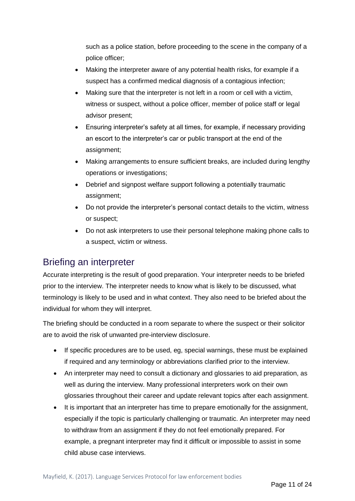such as a police station, before proceeding to the scene in the company of a police officer;

- Making the interpreter aware of any potential health risks, for example if a suspect has a confirmed medical diagnosis of a contagious infection;
- Making sure that the interpreter is not left in a room or cell with a victim, witness or suspect, without a police officer, member of police staff or legal advisor present;
- Ensuring interpreter's safety at all times, for example, if necessary providing an escort to the interpreter's car or public transport at the end of the assignment;
- Making arrangements to ensure sufficient breaks, are included during lengthy operations or investigations;
- Debrief and signpost welfare support following a potentially traumatic assignment;
- Do not provide the interpreter's personal contact details to the victim, witness or suspect;
- Do not ask interpreters to use their personal telephone making phone calls to a suspect, victim or witness.

### <span id="page-11-0"></span>Briefing an interpreter

Accurate interpreting is the result of good preparation. Your interpreter needs to be briefed prior to the interview. The interpreter needs to know what is likely to be discussed, what terminology is likely to be used and in what context. They also need to be briefed about the individual for whom they will interpret.

The briefing should be conducted in a room separate to where the suspect or their solicitor are to avoid the risk of unwanted pre-interview disclosure.

- If specific procedures are to be used, eg, special warnings, these must be explained if required and any terminology or abbreviations clarified prior to the interview.
- An interpreter may need to consult a dictionary and glossaries to aid preparation, as well as during the interview. Many professional interpreters work on their own glossaries throughout their career and update relevant topics after each assignment.
- It is important that an interpreter has time to prepare emotionally for the assignment, especially if the topic is particularly challenging or traumatic. An interpreter may need to withdraw from an assignment if they do not feel emotionally prepared. For example, a pregnant interpreter may find it difficult or impossible to assist in some child abuse case interviews.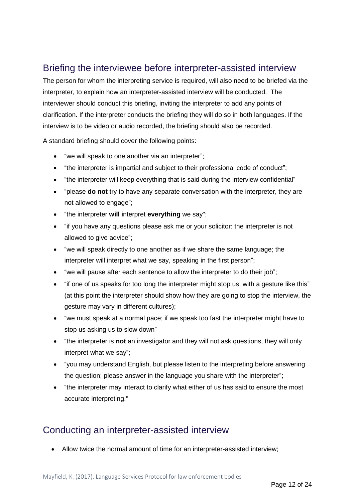### <span id="page-12-0"></span>Briefing the interviewee before interpreter-assisted interview

The person for whom the interpreting service is required, will also need to be briefed via the interpreter, to explain how an interpreter-assisted interview will be conducted. The interviewer should conduct this briefing, inviting the interpreter to add any points of clarification. If the interpreter conducts the briefing they will do so in both languages. If the interview is to be video or audio recorded, the briefing should also be recorded.

A standard briefing should cover the following points:

- "we will speak to one another via an interpreter";
- "the interpreter is impartial and subject to their professional code of conduct";
- "the interpreter will keep everything that is said during the interview confidential"
- "please **do not** try to have any separate conversation with the interpreter, they are not allowed to engage";
- "the interpreter **will** interpret **everything** we say";
- "if you have any questions please ask me or your solicitor: the interpreter is not allowed to give advice";
- "we will speak directly to one another as if we share the same language; the interpreter will interpret what we say, speaking in the first person";
- "we will pause after each sentence to allow the interpreter to do their job";
- "if one of us speaks for too long the interpreter might stop us, with a gesture like this" (at this point the interpreter should show how they are going to stop the interview, the gesture may vary in different cultures);
- "we must speak at a normal pace; if we speak too fast the interpreter might have to stop us asking us to slow down"
- "the interpreter is **not** an investigator and they will not ask questions, they will only interpret what we say";
- "you may understand English, but please listen to the interpreting before answering the question; please answer in the language you share with the interpreter";
- "the interpreter may interact to clarify what either of us has said to ensure the most accurate interpreting."

### <span id="page-12-1"></span>Conducting an interpreter-assisted interview

• Allow twice the normal amount of time for an interpreter-assisted interview;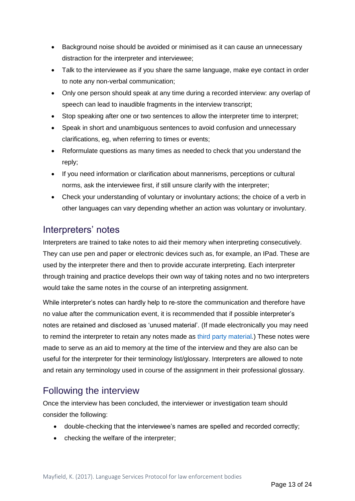- Background noise should be avoided or minimised as it can cause an unnecessary distraction for the interpreter and interviewee;
- Talk to the interviewee as if you share the same language, make eye contact in order to note any non-verbal communication;
- Only one person should speak at any time during a recorded interview: any overlap of speech can lead to inaudible fragments in the interview transcript;
- Stop speaking after one or two sentences to allow the interpreter time to interpret;
- Speak in short and unambiguous sentences to avoid confusion and unnecessary clarifications, eg, when referring to times or events;
- Reformulate questions as many times as needed to check that you understand the reply;
- If you need information or clarification about mannerisms, perceptions or cultural norms, ask the interviewee first, if still unsure clarify with the interpreter;
- Check your understanding of voluntary or involuntary actions; the choice of a verb in other languages can vary depending whether an action was voluntary or involuntary.

### <span id="page-13-0"></span>Interpreters' notes

Interpreters are trained to take notes to aid their memory when interpreting consecutively. They can use pen and paper or electronic devices such as, for example, an IPad. These are used by the interpreter there and then to provide accurate interpreting. Each interpreter through training and practice develops their own way of taking notes and no two interpreters would take the same notes in the course of an interpreting assignment.

While interpreter's notes can hardly help to re-store the communication and therefore have no value after the communication event, it is recommended that if possible interpreter's notes are retained and disclosed as 'unused material'. (If made electronically you may need to remind the interpreter to retain any notes made as [third party material](https://www.gov.uk/government/uploads/system/uploads/attachment_data/file/447967/code-of-practice-approved.pdf)*.*) These notes were made to serve as an aid to memory at the time of the interview and they are also can be useful for the interpreter for their terminology list/glossary. Interpreters are allowed to note and retain any terminology used in course of the assignment in their professional glossary.

## <span id="page-13-1"></span>Following the interview

Once the interview has been concluded, the interviewer or investigation team should consider the following:

- double-checking that the interviewee's names are spelled and recorded correctly;
- checking the welfare of the interpreter;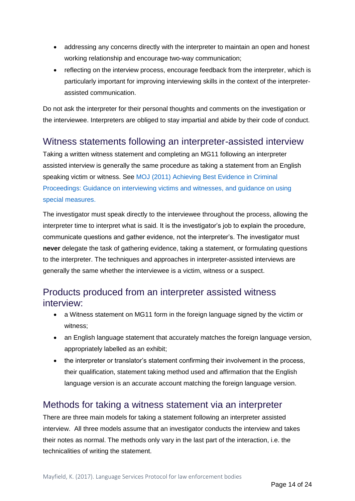- addressing any concerns directly with the interpreter to maintain an open and honest working relationship and encourage two-way communication;
- reflecting on the interview process, encourage feedback from the interpreter, which is particularly important for improving interviewing skills in the context of the interpreterassisted communication.

Do not ask the interpreter for their personal thoughts and comments on the investigation or the interviewee. Interpreters are obliged to stay impartial and abide by their code of conduct.

#### <span id="page-14-0"></span>Witness statements following an interpreter-assisted interview

Taking a written witness statement and completing an MG11 following an interpreter assisted interview is generally the same procedure as taking a statement from an English speaking victim or witness. See MOJ (2011) [Achieving Best Evidence in Criminal](http://www.cps.gov.uk/publications/docs/best_evidence_in_criminal_proceedings.pdf)  [Proceedings: Guidance on interviewing victims and witnesses, and guidance on using](http://www.cps.gov.uk/publications/docs/best_evidence_in_criminal_proceedings.pdf)  [special measures.](http://www.cps.gov.uk/publications/docs/best_evidence_in_criminal_proceedings.pdf)

The investigator must speak directly to the interviewee throughout the process, allowing the interpreter time to interpret what is said. It is the investigator's job to explain the procedure, communicate questions and gather evidence, not the interpreter's. The investigator must **never** delegate the task of gathering evidence, taking a statement, or formulating questions to the interpreter. The techniques and approaches in interpreter-assisted interviews are generally the same whether the interviewee is a victim, witness or a suspect.

### <span id="page-14-1"></span>Products produced from an interpreter assisted witness interview:

- a Witness statement on MG11 form in the foreign language signed by the victim or witness;
- an English language statement that accurately matches the foreign language version, appropriately labelled as an exhibit;
- the interpreter or translator's statement confirming their involvement in the process, their qualification, statement taking method used and affirmation that the English language version is an accurate account matching the foreign language version.

### <span id="page-14-2"></span>Methods for taking a witness statement via an interpreter

There are three main models for taking a statement following an interpreter assisted interview. All three models assume that an investigator conducts the interview and takes their notes as normal. The methods only vary in the last part of the interaction, i.e. the technicalities of writing the statement.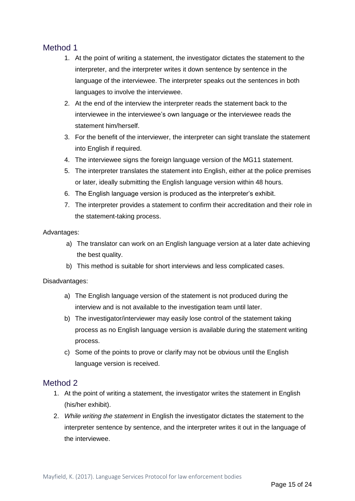#### <span id="page-15-0"></span>Method 1

- 1. At the point of writing a statement, the investigator dictates the statement to the interpreter, and the interpreter writes it down sentence by sentence in the language of the interviewee. The interpreter speaks out the sentences in both languages to involve the interviewee.
- 2. At the end of the interview the interpreter reads the statement back to the interviewee in the interviewee's own language or the interviewee reads the statement him/herself.
- 3. For the benefit of the interviewer, the interpreter can sight translate the statement into English if required.
- 4. The interviewee signs the foreign language version of the MG11 statement.
- 5. The interpreter translates the statement into English, either at the police premises or later, ideally submitting the English language version within 48 hours.
- 6. The English language version is produced as the interpreter's exhibit.
- 7. The interpreter provides a statement to confirm their accreditation and their role in the statement-taking process.

#### Advantages:

- a) The translator can work on an English language version at a later date achieving the best quality.
- b) This method is suitable for short interviews and less complicated cases.

#### Disadvantages:

- a) The English language version of the statement is not produced during the interview and is not available to the investigation team until later.
- b) The investigator/interviewer may easily lose control of the statement taking process as no English language version is available during the statement writing process.
- c) Some of the points to prove or clarify may not be obvious until the English language version is received.

#### <span id="page-15-1"></span>Method 2

- 1. At the point of writing a statement, the investigator writes the statement in English (his/her exhibit).
- 2. *While writing the statement* in English the investigator dictates the statement to the interpreter sentence by sentence, and the interpreter writes it out in the language of the interviewee.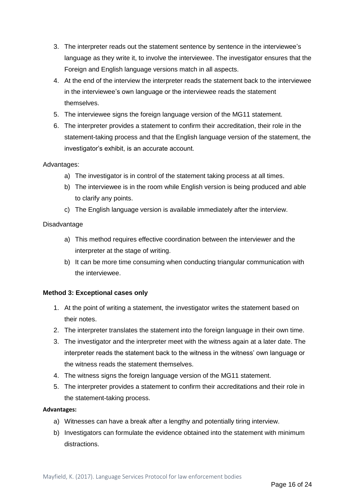- 3. The interpreter reads out the statement sentence by sentence in the interviewee's language as they write it, to involve the interviewee. The investigator ensures that the Foreign and English language versions match in all aspects.
- 4. At the end of the interview the interpreter reads the statement back to the interviewee in the interviewee's own language or the interviewee reads the statement themselves.
- 5. The interviewee signs the foreign language version of the MG11 statement.
- 6. The interpreter provides a statement to confirm their accreditation, their role in the statement-taking process and that the English language version of the statement, the investigator's exhibit, is an accurate account.

#### Advantages:

- a) The investigator is in control of the statement taking process at all times.
- b) The interviewee is in the room while English version is being produced and able to clarify any points.
- c) The English language version is available immediately after the interview.

#### Disadvantage

- a) This method requires effective coordination between the interviewer and the interpreter at the stage of writing.
- b) It can be more time consuming when conducting triangular communication with the interviewee.

#### **Method 3: Exceptional cases only**

- 1. At the point of writing a statement, the investigator writes the statement based on their notes.
- 2. The interpreter translates the statement into the foreign language in their own time.
- 3. The investigator and the interpreter meet with the witness again at a later date. The interpreter reads the statement back to the witness in the witness' own language or the witness reads the statement themselves.
- 4. The witness signs the foreign language version of the MG11 statement.
- 5. The interpreter provides a statement to confirm their accreditations and their role in the statement-taking process.

#### **Advantages:**

- a) Witnesses can have a break after a lengthy and potentially tiring interview.
- b) Investigators can formulate the evidence obtained into the statement with minimum distractions.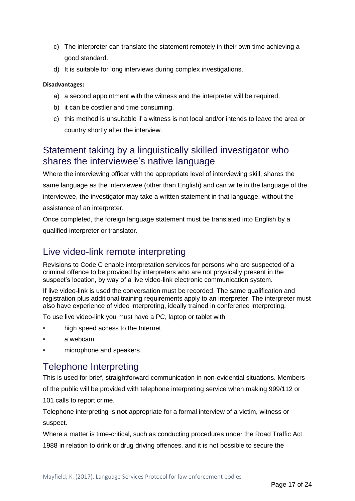- c) The interpreter can translate the statement remotely in their own time achieving a good standard.
- d) It is suitable for long interviews during complex investigations.

#### **Disadvantages:**

- a) a second appointment with the witness and the interpreter will be required.
- b) it can be costlier and time consuming.
- c) this method is unsuitable if a witness is not local and/or intends to leave the area or country shortly after the interview.

### <span id="page-17-0"></span>Statement taking by a linguistically skilled investigator who shares the interviewee's native language

Where the interviewing officer with the appropriate level of interviewing skill, shares the same language as the interviewee (other than English) and can write in the language of the interviewee, the investigator may take a written statement in that language, without the assistance of an interpreter.

Once completed, the foreign language statement must be translated into English by a qualified interpreter or translator.

### <span id="page-17-1"></span>Live video-link remote interpreting

Revisions to Code C enable interpretation services for persons who are suspected of a criminal offence to be provided by interpreters who are not physically present in the suspect's location, by way of a live video-link electronic communication system.

If live video-link is used the conversation must be recorded. The same qualification and registration plus additional training requirements apply to an interpreter. The interpreter must also have experience of video interpreting, ideally trained in conference interpreting.

To use live video-link you must have a PC, laptop or tablet with

- high speed access to the Internet
- a webcam
- <span id="page-17-3"></span>• microphone and speakers.

### <span id="page-17-2"></span>Telephone Interpreting

This is used for brief, straightforward communication in non-evidential situations. Members of the public will be provided with telephone interpreting service when making 999/112 or 101 calls to report crime.

Telephone interpreting is **not** appropriate for a formal interview of a victim, witness or suspect.

Where a matter is time-critical, such as conducting procedures under the Road Traffic Act 1988 in relation to drink or drug driving offences, and it is not possible to secure the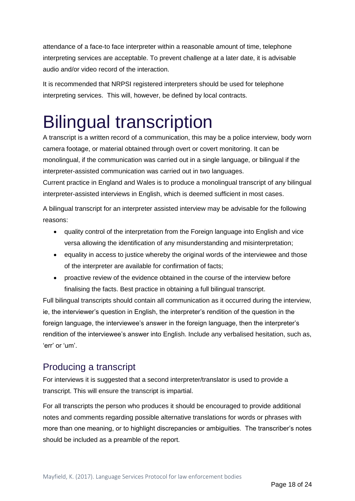attendance of a face-to face interpreter within a reasonable amount of time, telephone interpreting services are acceptable. To prevent challenge at a later date, it is advisable audio and/or video record of the interaction.

It is recommended that NRPSI registered interpreters should be used for telephone interpreting services. This will, however, be defined by local contracts.

# <span id="page-18-0"></span>Bilingual transcription

A transcript is a written record of a communication, this may be a police interview, body worn camera footage, or material obtained through overt or covert monitoring. It can be monolingual, if the communication was carried out in a single language, or bilingual if the interpreter-assisted communication was carried out in two languages.

Current practice in England and Wales is to produce a monolingual transcript of any bilingual interpreter-assisted interviews in English, which is deemed sufficient in most cases.

A bilingual transcript for an interpreter assisted interview may be advisable for the following reasons:

- quality control of the interpretation from the Foreign language into English and vice versa allowing the identification of any misunderstanding and misinterpretation;
- equality in access to justice whereby the original words of the interviewee and those of the interpreter are available for confirmation of facts;
- proactive review of the evidence obtained in the course of the interview before finalising the facts. Best practice in obtaining a full bilingual transcript.

Full bilingual transcripts should contain all communication as it occurred during the interview, ie, the interviewer's question in English, the interpreter's rendition of the question in the foreign language, the interviewee's answer in the foreign language, then the interpreter's rendition of the interviewee's answer into English. Include any verbalised hesitation, such as, 'err' or 'um'.

# <span id="page-18-1"></span>Producing a transcript

For interviews it is suggested that a second interpreter/translator is used to provide a transcript. This will ensure the transcript is impartial.

For all transcripts the person who produces it should be encouraged to provide additional notes and comments regarding possible alternative translations for words or phrases with more than one meaning, or to highlight discrepancies or ambiguities. The transcriber's notes should be included as a preamble of the report.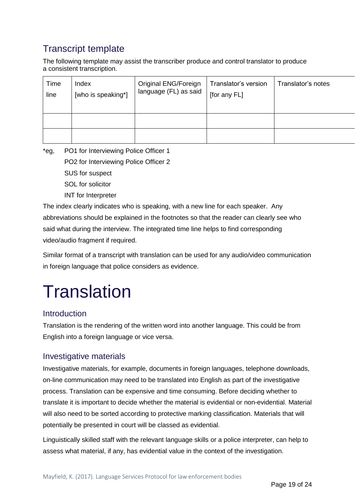# <span id="page-19-0"></span>Transcript template

The following template may assist the transcriber produce and control translator to produce a consistent transcription.

| Time | Index              | Original ENG/Foreign  | Translator's version | Translator's notes |
|------|--------------------|-----------------------|----------------------|--------------------|
| line | [who is speaking*] | language (FL) as said | [for any FL]         |                    |
|      |                    |                       |                      |                    |

\*eg, PO1 for Interviewing Police Officer 1 PO2 for Interviewing Police Officer 2

SUS for suspect

SOL for solicitor

INT for Interpreter

The index clearly indicates who is speaking, with a new line for each speaker. Any abbreviations should be explained in the footnotes so that the reader can clearly see who said what during the interview. The integrated time line helps to find corresponding video/audio fragment if required.

Similar format of a transcript with translation can be used for any audio/video communication in foreign language that police considers as evidence.

# <span id="page-19-1"></span>**Translation**

#### <span id="page-19-2"></span>Introduction

Translation is the rendering of the written word into another language. This could be from English into a foreign language or vice versa.

#### <span id="page-19-3"></span>Investigative materials

Investigative materials, for example, documents in foreign languages, telephone downloads, on-line communication may need to be translated into English as part of the investigative process. Translation can be expensive and time consuming. Before deciding whether to translate it is important to decide whether the material is evidential or non-evidential. Material will also need to be sorted according to protective marking classification. Materials that will potentially be presented in court will be classed as evidential.

Linguistically skilled staff with the relevant language skills or a police interpreter, can help to assess what material, if any, has evidential value in the context of the investigation.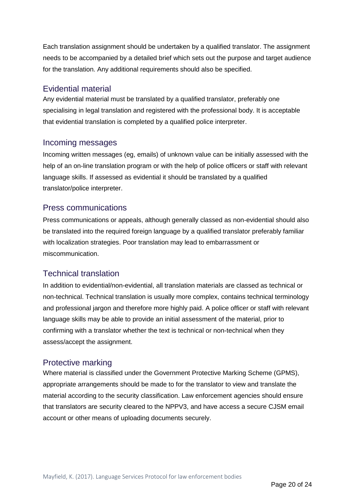Each translation assignment should be undertaken by a qualified translator. The assignment needs to be accompanied by a detailed brief which sets out the purpose and target audience for the translation. Any additional requirements should also be specified.

#### <span id="page-20-0"></span>Evidential material

Any evidential material must be translated by a qualified translator, preferably one specialising in legal translation and registered with the professional body. It is acceptable that evidential translation is completed by a qualified police interpreter.

#### <span id="page-20-1"></span>Incoming messages

Incoming written messages (eg, emails) of unknown value can be initially assessed with the help of an on-line translation program or with the help of police officers or staff with relevant language skills. If assessed as evidential it should be translated by a qualified translator/police interpreter.

#### <span id="page-20-2"></span>Press communications

Press communications or appeals, although generally classed as non-evidential should also be translated into the required foreign language by a qualified translator preferably familiar with localization strategies. Poor translation may lead to embarrassment or miscommunication.

#### <span id="page-20-3"></span>Technical translation

In addition to evidential/non-evidential, all translation materials are classed as technical or non-technical. Technical translation is usually more complex, contains technical terminology and professional jargon and therefore more highly paid. A police officer or staff with relevant language skills may be able to provide an initial assessment of the material, prior to confirming with a translator whether the text is technical or non-technical when they assess/accept the assignment.

#### <span id="page-20-4"></span>Protective marking

Where material is classified under the Government Protective Marking Scheme (GPMS), appropriate arrangements should be made to for the translator to view and translate the material according to the security classification. Law enforcement agencies should ensure that translators are security cleared to the NPPV3, and have access a secure CJSM email account or other means of uploading documents securely.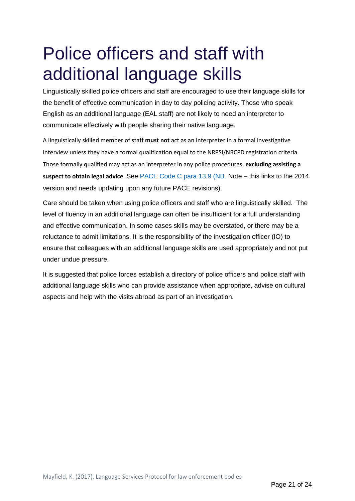# <span id="page-21-0"></span>Police officers and staff with additional language skills

Linguistically skilled police officers and staff are encouraged to use their language skills for the benefit of effective communication in day to day policing activity. Those who speak English as an additional language (EAL staff) are not likely to need an interpreter to communicate effectively with people sharing their native language.

A linguistically skilled member of staff **must not** act as an interpreter in a formal investigative interview unless they have a formal qualification equal to the NRPSI/NRCPD registration criteria. Those formally qualified may act as an interpreter in any police procedures, **excluding assisting a suspect to obtain legal advice**. See [PACE Code C para 13.9](https://www.gov.uk/government/uploads/system/uploads/attachment_data/file/364707/PaceCodeC2014.pdf) (NB. Note – this links to the 2014 version and needs updating upon any future PACE revisions).

Care should be taken when using police officers and staff who are linguistically skilled. The level of fluency in an additional language can often be insufficient for a full understanding and effective communication. In some cases skills may be overstated, or there may be a reluctance to admit limitations. It is the responsibility of the investigation officer (IO) to ensure that colleagues with an additional language skills are used appropriately and not put under undue pressure.

It is suggested that police forces establish a directory of police officers and police staff with additional language skills who can provide assistance when appropriate, advise on cultural aspects and help with the visits abroad as part of an investigation.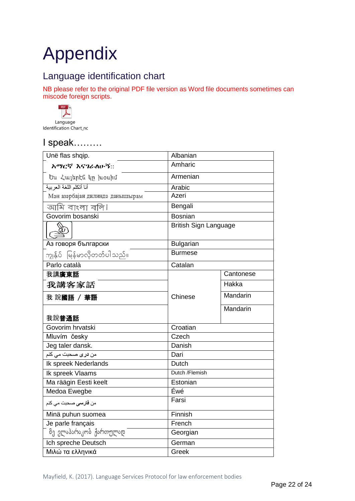# <span id="page-22-0"></span>Appendix

# <span id="page-22-1"></span>Language identification chart

NB please refer to the original PDF file version as Word file documents sometimes can miscode foreign scripts.



# I speak………

| Unë flas shqip.                                   | Albanian                     |           |
|---------------------------------------------------|------------------------------|-----------|
| አማርኛ እናገራለሁኝ::                                    | Amharic                      |           |
| Ես Հայերէն կը խօսիմ                               | Armenian                     |           |
| أنا أتكلم اللغة العربية                           | Arabic                       |           |
| Мән азәрбајан дилиндә данышырам                   | Azeri                        |           |
| আমি বাংলা বলি।                                    | Bengali                      |           |
| Govorim bosanski                                  | <b>Bosnian</b>               |           |
| SE                                                | <b>British Sign Language</b> |           |
| Аз говоря български                               | <b>Bulgarian</b>             |           |
| ကျွန်ုပ် မြန်မာလိုတတ်ပါသည်။                       | <b>Burmese</b>               |           |
| Parlo català                                      | Catalan                      |           |
| 我講廣東話                                             |                              | Cantonese |
| 我講客家話                                             |                              | Hakka     |
| 我說國語 / 華語                                         | Chinese                      | Mandarin  |
| 我說普通話                                             |                              | Mandarin  |
| Govorim hrvatski                                  | Croatian                     |           |
| Mluvím česky                                      | Czech                        |           |
| Jeg taler dansk.                                  | Danish                       |           |
| م <i>ن <mark>در ی</mark> ص</i> حبت م <i>ي</i> کنم | Dari                         |           |
| Ik spreek Nederlands                              | Dutch                        |           |
| Ik spreek Vlaams                                  | Dutch /Flemish               |           |
| Ma räägin Eesti keelt                             | Estonian                     |           |
| Medoa Ewegbe                                      | Éwé                          |           |
| من <b>فارس<i>ی</i> ص</b> حبت می کنم               | Farsi                        |           |
| Minä puhun suomea                                 | Finnish                      |           |
| Je parle français                                 | French                       |           |
| მე ვლაპარაკობ ქართულად                            | Georgian                     |           |
| Ich spreche Deutsch<br>German                     |                              |           |
| Μιλώ τα ελληνικά                                  | Greek                        |           |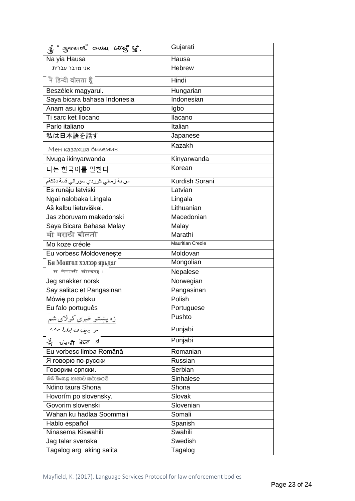| g Josen anu Gue                                                           | Gujarati                |
|---------------------------------------------------------------------------|-------------------------|
| Na yia Hausa                                                              | Hausa                   |
| אני מדבר עברית                                                            | <b>Hebrew</b>           |
| में हिन्दी वोलता हूँ                                                      | Hindi                   |
| Beszélek magyarul.                                                        | Hungarian               |
| Saya bicara bahasa Indonesia                                              | Indonesian              |
| Anam asu igbo                                                             | Igbo                    |
| Ti sarc ket Ilocano                                                       | Ilacano                 |
| Parlo italiano                                                            | Italian                 |
| 私は日本語を話す                                                                  | Japanese                |
| Мен казахша билемин                                                       | <b>Kazakh</b>           |
| Nvuga ikinyarwanda                                                        | Kinyarwanda             |
| 나는 한국어를 말한다                                                               | Korean                  |
| من بـa زـمـانـي كور دي سؤر انـي قسـة دةكـةم                               | Kurdish Sorani          |
| Es runāju latviski                                                        | Latvian                 |
| Ngai nalobaka Lingala                                                     | Lingala                 |
| Aš kalbu lietuviškai.                                                     | Lithuanian              |
| Jas zboruvam makedonski                                                   | Macedonian              |
| Saya Bicara Bahasa Malay                                                  | Malay                   |
| मी मराठी बोलतो                                                            | Marathi                 |
| Mo koze créole                                                            | <b>Mauritian Creole</b> |
| Eu vorbesc Moldoveneste                                                   | Moldovan                |
| Би Монгол хэлээр ярьдаг                                                   | Mongolian               |
| म नेपाली बोल्दछ ।                                                         | Nepalese                |
| Jeg snakker norsk                                                         | Norwegian               |
| Say salitac et Pangasinan                                                 | Pangasinan              |
| Mówię po polsku                                                           | Polish                  |
| Eu falo português                                                         | Portuguese              |
| <u>زه پښتو خبرې کولای شم</u><br><u>بر<sub>ک</sub>نې <i>ب برګرا دی</i></u> | Pushto                  |
|                                                                           | Punjabi                 |
| भी पंताबी बैमटा ज                                                         | Punjabi                 |
| Eu vorbesc limba Română                                                   | Romanian                |
| Я говорю по-русски                                                        | Russian                 |
| Говорим српски.                                                           | Serbian                 |
| මම සිංහළ භාෂාව කථාකරමි                                                    | Sinhalese               |
| Ndino taura Shona                                                         | Shona                   |
| Hovorím po slovensky.                                                     | Slovak                  |
| Govorim slovenski                                                         | Slovenian               |
| Wahan ku hadlaa Soommali                                                  | Somali                  |
| Hablo español                                                             | Spanish                 |
| Ninasema Kiswahili                                                        | Swahili                 |
| Jag talar svenska                                                         | Swedish                 |
| Tagalog arg aking salita                                                  | Tagalog                 |